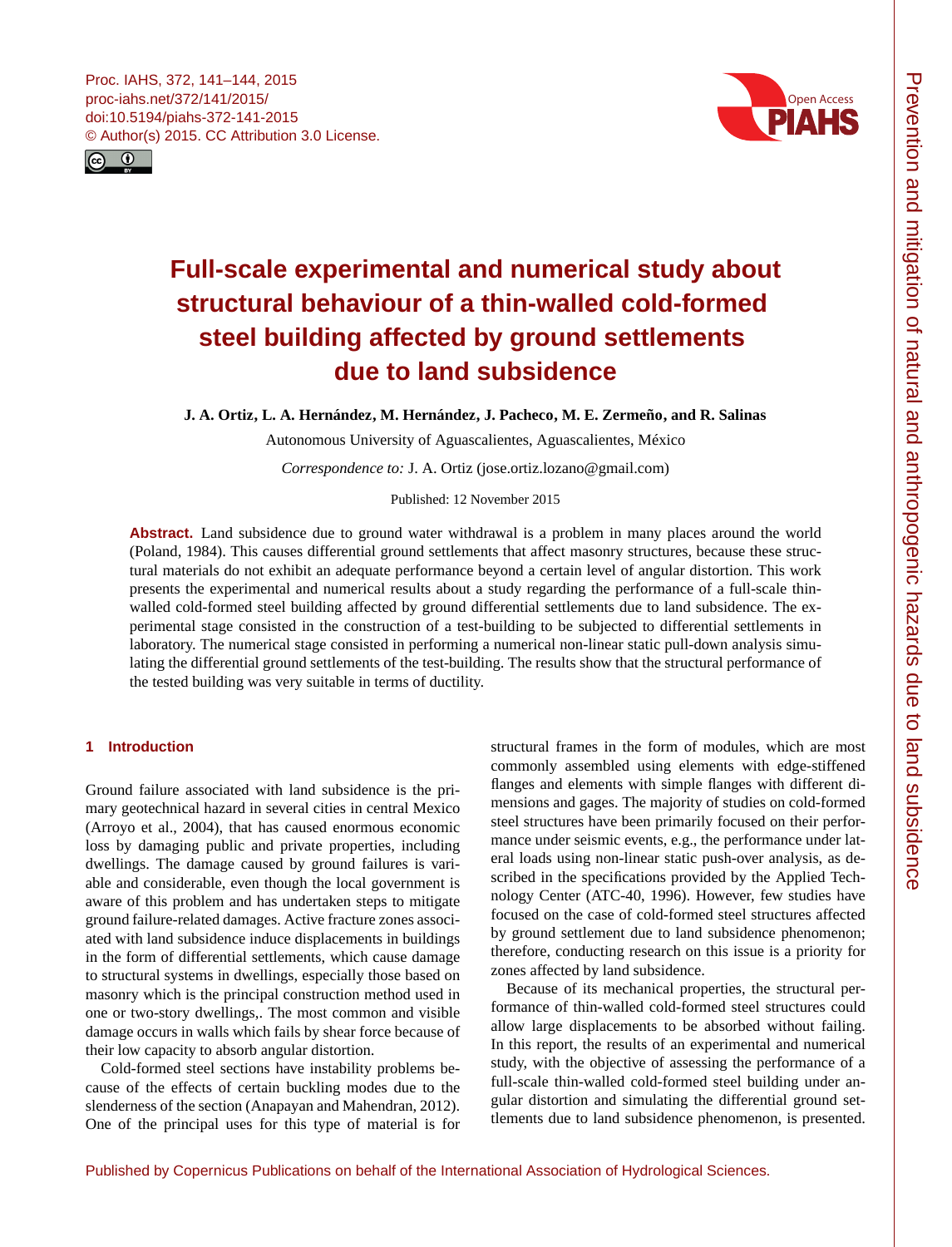<span id="page-0-0"></span>



# **Full-scale experimental and numerical study about structural behaviour of a thin-walled cold-formed steel building affected by ground settlements due to land subsidence**

**J. A. Ortiz, L. A. Hernández, M. Hernández, J. Pacheco, M. E. Zermeño, and R. Salinas**

Autonomous University of Aguascalientes, Aguascalientes, México

*Correspondence to:* J. A. Ortiz (jose.ortiz.lozano@gmail.com)

Published: 12 November 2015

**Abstract.** Land subsidence due to ground water withdrawal is a problem in many places around the world (Poland, 1984). This causes differential ground settlements that affect masonry structures, because these structural materials do not exhibit an adequate performance beyond a certain level of angular distortion. This work presents the experimental and numerical results about a study regarding the performance of a full-scale thinwalled cold-formed steel building affected by ground differential settlements due to land subsidence. The experimental stage consisted in the construction of a test-building to be subjected to differential settlements in laboratory. The numerical stage consisted in performing a numerical non-linear static pull-down analysis simulating the differential ground settlements of the test-building. The results show that the structural performance of the tested building was very suitable in terms of ductility.

# **1 Introduction**

Ground failure associated with land subsidence is the primary geotechnical hazard in several cities in central Mexico (Arroyo et al., 2004), that has caused enormous economic loss by damaging public and private properties, including dwellings. The damage caused by ground failures is variable and considerable, even though the local government is aware of this problem and has undertaken steps to mitigate ground failure-related damages. Active fracture zones associated with land subsidence induce displacements in buildings in the form of differential settlements, which cause damage to structural systems in dwellings, especially those based on masonry which is the principal construction method used in one or two-story dwellings,. The most common and visible damage occurs in walls which fails by shear force because of their low capacity to absorb angular distortion.

Cold-formed steel sections have instability problems because of the effects of certain buckling modes due to the slenderness of the section (Anapayan and Mahendran, 2012). One of the principal uses for this type of material is for structural frames in the form of modules, which are most commonly assembled using elements with edge-stiffened flanges and elements with simple flanges with different dimensions and gages. The majority of studies on cold-formed steel structures have been primarily focused on their performance under seismic events, e.g., the performance under lateral loads using non-linear static push-over analysis, as described in the specifications provided by the Applied Technology Center (ATC-40, 1996). However, few studies have focused on the case of cold-formed steel structures affected by ground settlement due to land subsidence phenomenon; therefore, conducting research on this issue is a priority for zones affected by land subsidence.

Because of its mechanical properties, the structural performance of thin-walled cold-formed steel structures could allow large displacements to be absorbed without failing. In this report, the results of an experimental and numerical study, with the objective of assessing the performance of a full-scale thin-walled cold-formed steel building under angular distortion and simulating the differential ground settlements due to land subsidence phenomenon, is presented.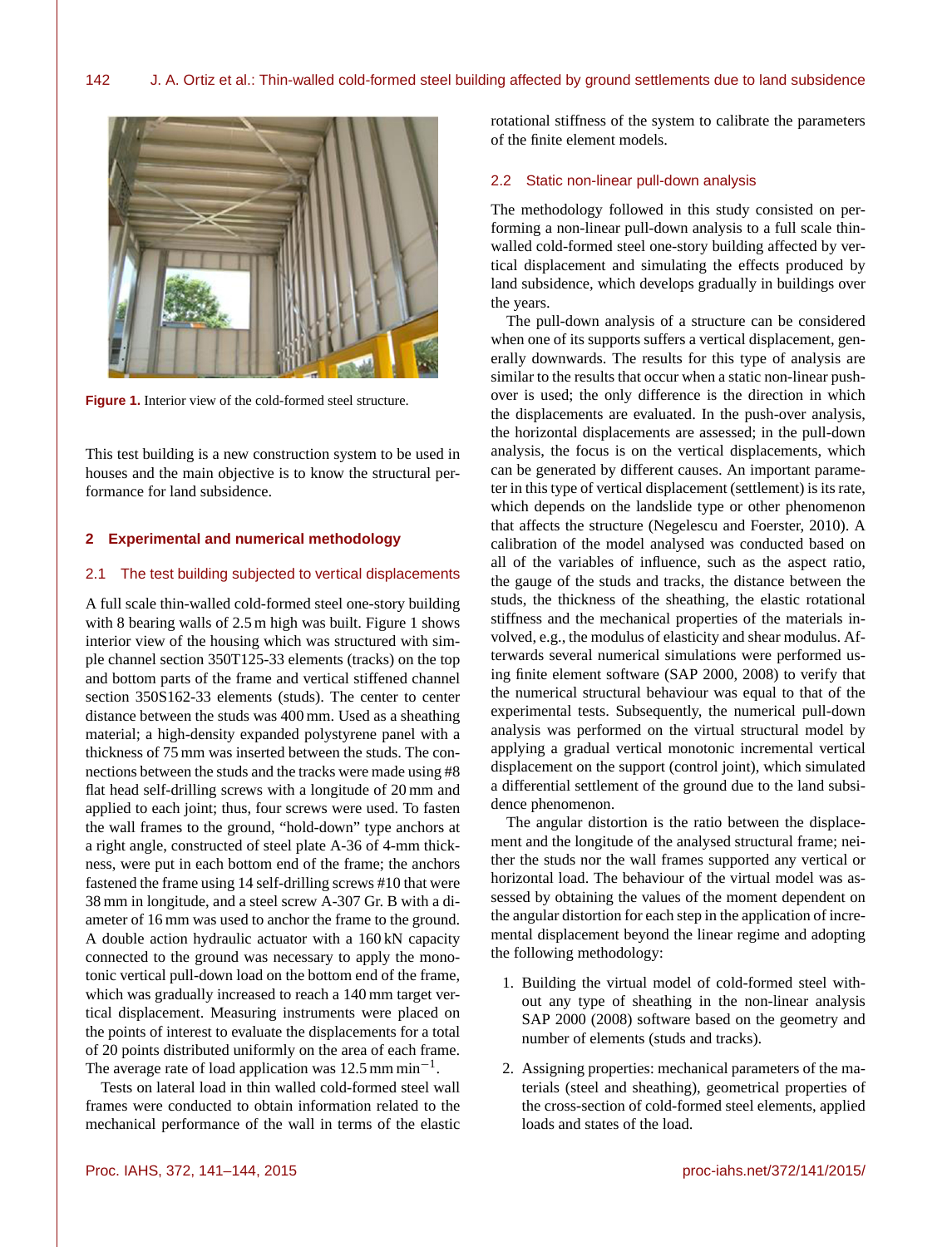

**Figure 1.** Interior view of the cold-formed steel structure.

This test building is a new construction system to be used in houses and the main objective is to know the structural performance for land subsidence.

# **2 Experimental and numerical methodology**

## 2.1 The test building subjected to vertical displacements

A full scale thin-walled cold-formed steel one-story building with 8 bearing walls of 2.5 m high was built. Figure 1 shows interior view of the housing which was structured with simple channel section 350T125-33 elements (tracks) on the top and bottom parts of the frame and vertical stiffened channel section 350S162-33 elements (studs). The center to center distance between the studs was 400 mm. Used as a sheathing material; a high-density expanded polystyrene panel with a thickness of 75 mm was inserted between the studs. The connections between the studs and the tracks were made using #8 flat head self-drilling screws with a longitude of 20 mm and applied to each joint; thus, four screws were used. To fasten the wall frames to the ground, "hold-down" type anchors at a right angle, constructed of steel plate A-36 of 4-mm thickness, were put in each bottom end of the frame; the anchors fastened the frame using 14 self-drilling screws #10 that were 38 mm in longitude, and a steel screw A-307 Gr. B with a diameter of 16 mm was used to anchor the frame to the ground. A double action hydraulic actuator with a 160 kN capacity connected to the ground was necessary to apply the monotonic vertical pull-down load on the bottom end of the frame, which was gradually increased to reach a 140 mm target vertical displacement. Measuring instruments were placed on the points of interest to evaluate the displacements for a total of 20 points distributed uniformly on the area of each frame. The average rate of load application was 12.5 mm min<sup>-1</sup>.

Tests on lateral load in thin walled cold-formed steel wall frames were conducted to obtain information related to the mechanical performance of the wall in terms of the elastic rotational stiffness of the system to calibrate the parameters of the finite element models.

## 2.2 Static non-linear pull-down analysis

The methodology followed in this study consisted on performing a non-linear pull-down analysis to a full scale thinwalled cold-formed steel one-story building affected by vertical displacement and simulating the effects produced by land subsidence, which develops gradually in buildings over the years.

The pull-down analysis of a structure can be considered when one of its supports suffers a vertical displacement, generally downwards. The results for this type of analysis are similar to the results that occur when a static non-linear pushover is used; the only difference is the direction in which the displacements are evaluated. In the push-over analysis, the horizontal displacements are assessed; in the pull-down analysis, the focus is on the vertical displacements, which can be generated by different causes. An important parameter in this type of vertical displacement (settlement) is its rate, which depends on the landslide type or other phenomenon that affects the structure (Negelescu and Foerster, 2010). A calibration of the model analysed was conducted based on all of the variables of influence, such as the aspect ratio, the gauge of the studs and tracks, the distance between the studs, the thickness of the sheathing, the elastic rotational stiffness and the mechanical properties of the materials involved, e.g., the modulus of elasticity and shear modulus. Afterwards several numerical simulations were performed using finite element software (SAP 2000, 2008) to verify that the numerical structural behaviour was equal to that of the experimental tests. Subsequently, the numerical pull-down analysis was performed on the virtual structural model by applying a gradual vertical monotonic incremental vertical displacement on the support (control joint), which simulated a differential settlement of the ground due to the land subsidence phenomenon.

The angular distortion is the ratio between the displacement and the longitude of the analysed structural frame; neither the studs nor the wall frames supported any vertical or horizontal load. The behaviour of the virtual model was assessed by obtaining the values of the moment dependent on the angular distortion for each step in the application of incremental displacement beyond the linear regime and adopting the following methodology:

- 1. Building the virtual model of cold-formed steel without any type of sheathing in the non-linear analysis SAP 2000 (2008) software based on the geometry and number of elements (studs and tracks).
- 2. Assigning properties: mechanical parameters of the materials (steel and sheathing), geometrical properties of the cross-section of cold-formed steel elements, applied loads and states of the load.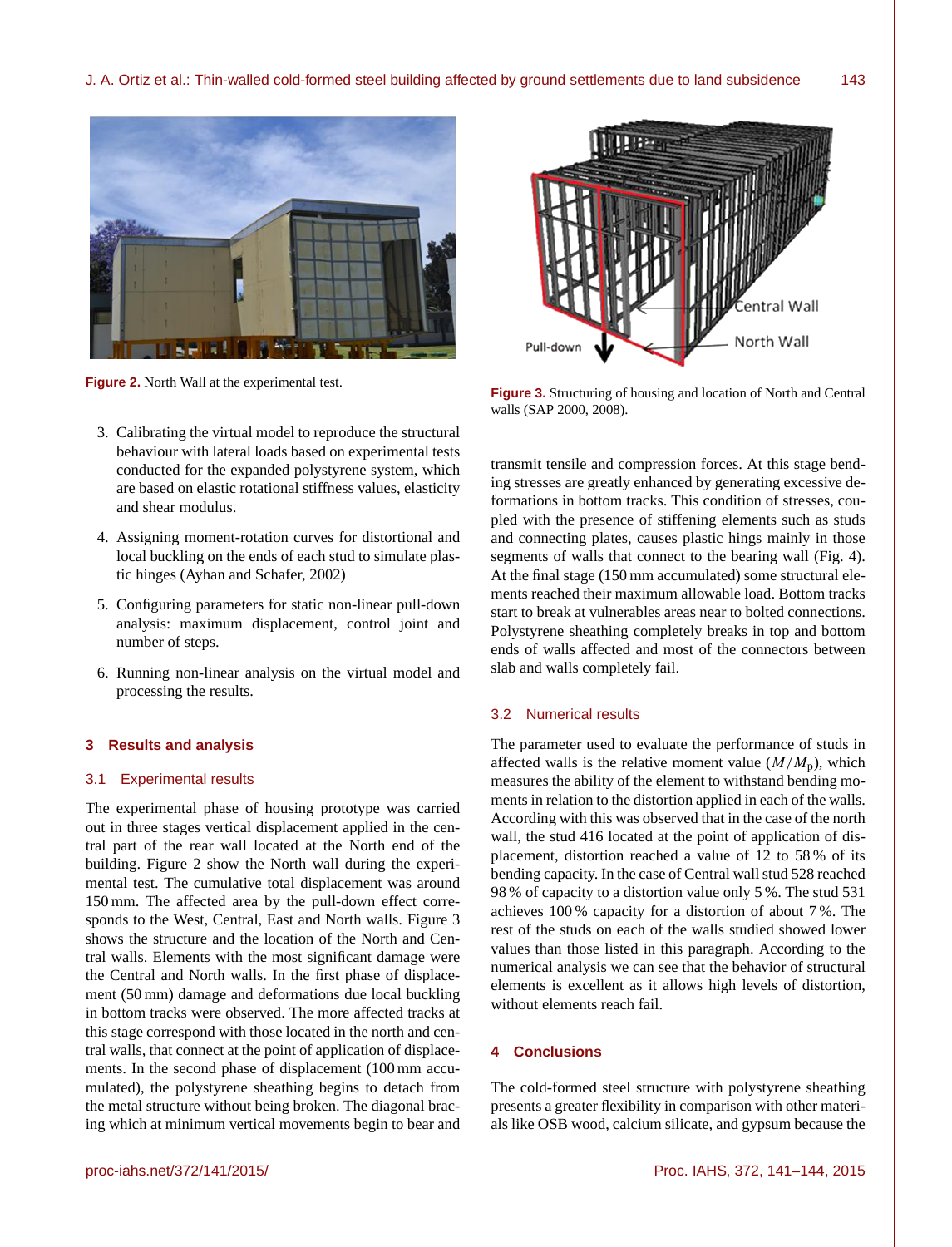

**Figure 2.** North Wall at the experimental test.

- 3. Calibrating the virtual model to reproduce the structural behaviour with lateral loads based on experimental tests conducted for the expanded polystyrene system, which are based on elastic rotational stiffness values, elasticity and shear modulus.
- 4. Assigning moment-rotation curves for distortional and local buckling on the ends of each stud to simulate plastic hinges (Ayhan and Schafer, 2002)
- 5. Configuring parameters for static non-linear pull-down analysis: maximum displacement, control joint and number of steps.
- 6. Running non-linear analysis on the virtual model and processing the results.

#### **3 Results and analysis**

## 3.1 Experimental results

The experimental phase of housing prototype was carried out in three stages vertical displacement applied in the central part of the rear wall located at the North end of the building. Figure 2 show the North wall during the experimental test. The cumulative total displacement was around 150 mm. The affected area by the pull-down effect corresponds to the West, Central, East and North walls. Figure 3 shows the structure and the location of the North and Central walls. Elements with the most significant damage were the Central and North walls. In the first phase of displacement (50 mm) damage and deformations due local buckling in bottom tracks were observed. The more affected tracks at this stage correspond with those located in the north and central walls, that connect at the point of application of displacements. In the second phase of displacement (100 mm accumulated), the polystyrene sheathing begins to detach from the metal structure without being broken. The diagonal bracing which at minimum vertical movements begin to bear and



**Figure 3.** Structuring of housing and location of North and Central walls (SAP 2000, 2008).

transmit tensile and compression forces. At this stage bending stresses are greatly enhanced by generating excessive deformations in bottom tracks. This condition of stresses, coupled with the presence of stiffening elements such as studs and connecting plates, causes plastic hings mainly in those segments of walls that connect to the bearing wall (Fig. 4). At the final stage (150 mm accumulated) some structural elements reached their maximum allowable load. Bottom tracks start to break at vulnerables areas near to bolted connections. Polystyrene sheathing completely breaks in top and bottom ends of walls affected and most of the connectors between slab and walls completely fail.

## 3.2 Numerical results

The parameter used to evaluate the performance of studs in affected walls is the relative moment value  $(M/M_p)$ , which measures the ability of the element to withstand bending moments in relation to the distortion applied in each of the walls. According with this was observed that in the case of the north wall, the stud 416 located at the point of application of displacement, distortion reached a value of 12 to 58 % of its bending capacity. In the case of Central wall stud 528 reached 98 % of capacity to a distortion value only 5 %. The stud 531 achieves 100 % capacity for a distortion of about 7 %. The rest of the studs on each of the walls studied showed lower values than those listed in this paragraph. According to the numerical analysis we can see that the behavior of structural elements is excellent as it allows high levels of distortion, without elements reach fail.

# **4 Conclusions**

The cold-formed steel structure with polystyrene sheathing presents a greater flexibility in comparison with other materials like OSB wood, calcium silicate, and gypsum because the